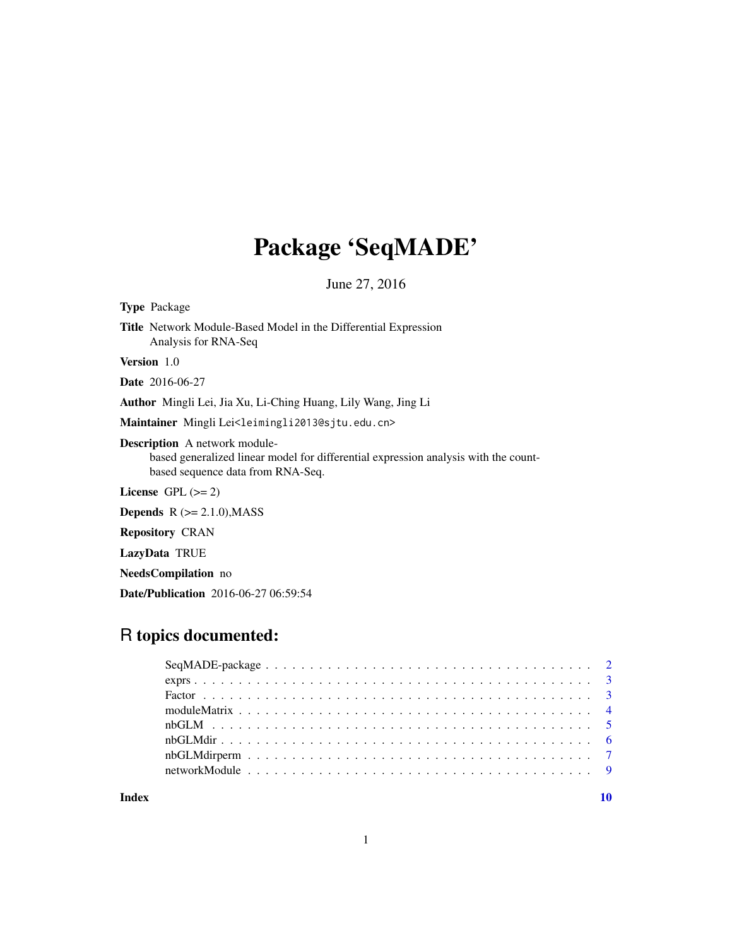## Package 'SeqMADE'

June 27, 2016

Type Package Title Network Module-Based Model in the Differential Expression Analysis for RNA-Seq Version 1.0 Date 2016-06-27 Author Mingli Lei, Jia Xu, Li-Ching Huang, Lily Wang, Jing Li Maintainer Mingli Lei<leimingli2013@sjtu.edu.cn> Description A network modulebased generalized linear model for differential expression analysis with the countbased sequence data from RNA-Seq. License GPL  $(>= 2)$ 

**Depends**  $R$  ( $>= 2.1.0$ ), MASS

Repository CRAN

LazyData TRUE

NeedsCompilation no

Date/Publication 2016-06-27 06:59:54

## R topics documented:

 $\blacksquare$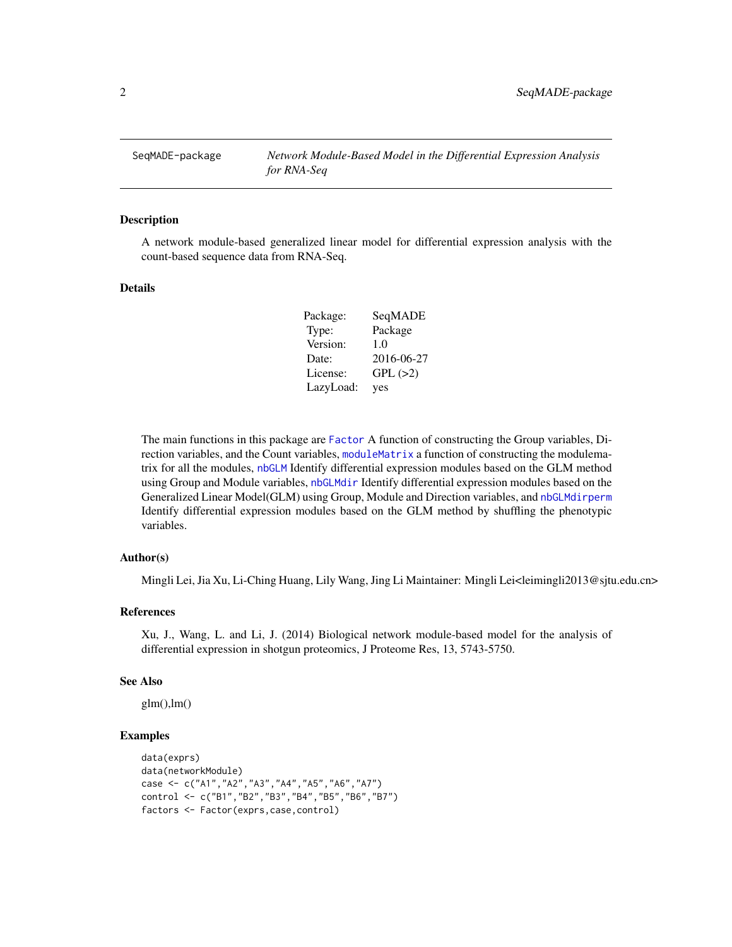<span id="page-1-0"></span>SeqMADE-package *Network Module-Based Model in the Differential Expression Analysis for RNA-Seq*

#### Description

A network module-based generalized linear model for differential expression analysis with the count-based sequence data from RNA-Seq.

## Details

| Package:  | SeqMADE    |
|-----------|------------|
| Type:     | Package    |
| Version:  | 1.0        |
| Date:     | 2016-06-27 |
| License:  | GPL(>2)    |
| LazyLoad: | yes        |

The main functions in this package are [Factor](#page-2-1) A function of constructing the Group variables, Direction variables, and the Count variables, [moduleMatrix](#page-3-1) a function of constructing the modulematrix for all the modules, [nbGLM](#page-4-1) Identify differential expression modules based on the GLM method using Group and Module variables, [nbGLMdir](#page-5-1) Identify differential expression modules based on the Generalized Linear Model(GLM) using Group, Module and Direction variables, and [nbGLMdirperm](#page-6-1) Identify differential expression modules based on the GLM method by shuffling the phenotypic variables.

## Author(s)

Mingli Lei, Jia Xu, Li-Ching Huang, Lily Wang, Jing Li Maintainer: Mingli Lei<leimingli2013@sjtu.edu.cn>

#### References

Xu, J., Wang, L. and Li, J. (2014) Biological network module-based model for the analysis of differential expression in shotgun proteomics, J Proteome Res, 13, 5743-5750.

#### See Also

 $glm(),lm()$ 

## Examples

```
data(exprs)
data(networkModule)
case <- c("A1","A2","A3","A4","A5","A6","A7")
control <- c("B1","B2","B3","B4","B5","B6","B7")
factors <- Factor(exprs,case,control)
```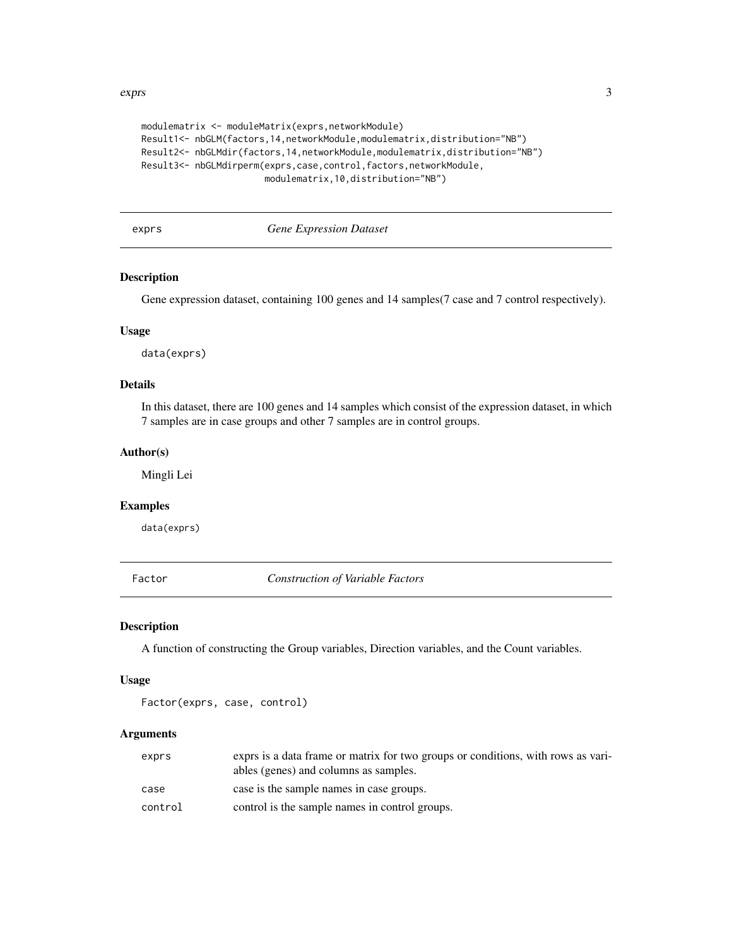#### <span id="page-2-0"></span>exprs 3

```
modulematrix <- moduleMatrix(exprs,networkModule)
Result1<- nbGLM(factors,14,networkModule,modulematrix,distribution="NB")
Result2<- nbGLMdir(factors,14,networkModule,modulematrix,distribution="NB")
Result3<- nbGLMdirperm(exprs, case, control, factors, networkModule,
                       modulematrix,10,distribution="NB")
```
exprs *Gene Expression Dataset*

#### Description

Gene expression dataset, containing 100 genes and 14 samples(7 case and 7 control respectively).

#### Usage

data(exprs)

## Details

In this dataset, there are 100 genes and 14 samples which consist of the expression dataset, in which 7 samples are in case groups and other 7 samples are in control groups.

## Author(s)

Mingli Lei

## Examples

data(exprs)

<span id="page-2-1"></span>Factor *Construction of Variable Factors*

## Description

A function of constructing the Group variables, Direction variables, and the Count variables.

#### Usage

```
Factor(exprs, case, control)
```
## Arguments

| exprs   | exprs is a data frame or matrix for two groups or conditions, with rows as vari-<br>ables (genes) and columns as samples. |
|---------|---------------------------------------------------------------------------------------------------------------------------|
| case    | case is the sample names in case groups.                                                                                  |
| control | control is the sample names in control groups.                                                                            |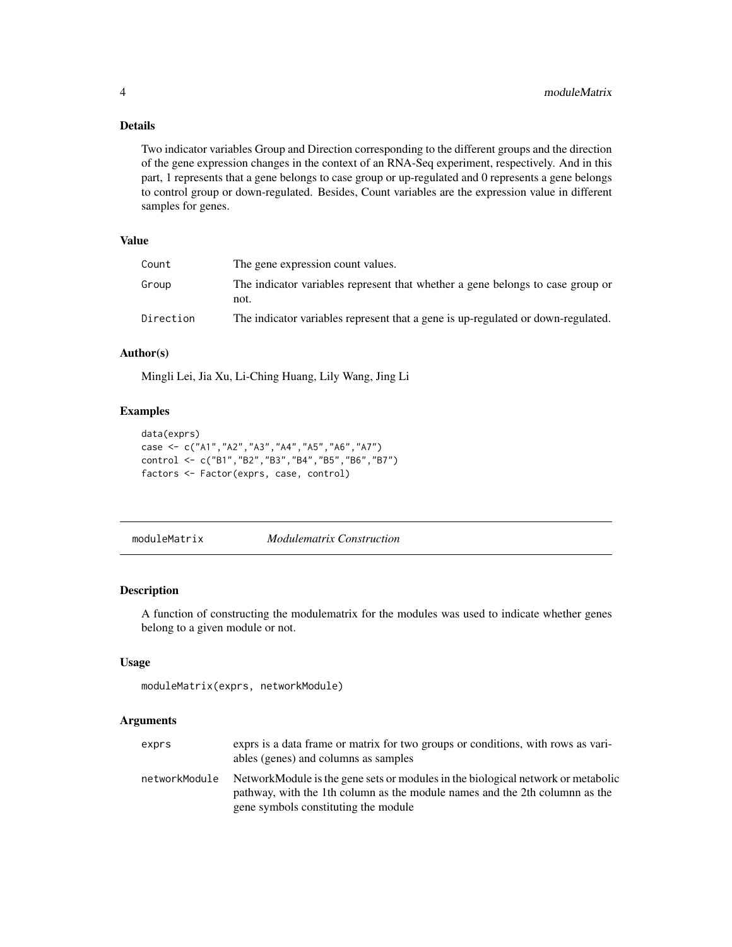## Details

Two indicator variables Group and Direction corresponding to the different groups and the direction of the gene expression changes in the context of an RNA-Seq experiment, respectively. And in this part, 1 represents that a gene belongs to case group or up-regulated and 0 represents a gene belongs to control group or down-regulated. Besides, Count variables are the expression value in different samples for genes.

## Value

| Count     | The gene expression count values.                                                      |
|-----------|----------------------------------------------------------------------------------------|
| Group     | The indicator variables represent that whether a gene belongs to case group or<br>not. |
| Direction | The indicator variables represent that a gene is up-regulated or down-regulated.       |

#### Author(s)

Mingli Lei, Jia Xu, Li-Ching Huang, Lily Wang, Jing Li

## Examples

```
data(exprs)
case <- c("A1","A2","A3","A4","A5","A6","A7")
control <- c("B1","B2","B3","B4","B5","B6","B7")
factors <- Factor(exprs, case, control)
```
<span id="page-3-1"></span>moduleMatrix *Modulematrix Construction*

## Description

A function of constructing the modulematrix for the modules was used to indicate whether genes belong to a given module or not.

## Usage

```
moduleMatrix(exprs, networkModule)
```
## Arguments

| exprs         | exprs is a data frame or matrix for two groups or conditions, with rows as vari-<br>ables (genes) and columns as samples                                                                                |
|---------------|---------------------------------------------------------------------------------------------------------------------------------------------------------------------------------------------------------|
| networkModule | NetworkModule is the gene sets or modules in the biological network or metabolic<br>pathway, with the 1th column as the module names and the 2th columnn as the<br>gene symbols constituting the module |

<span id="page-3-0"></span>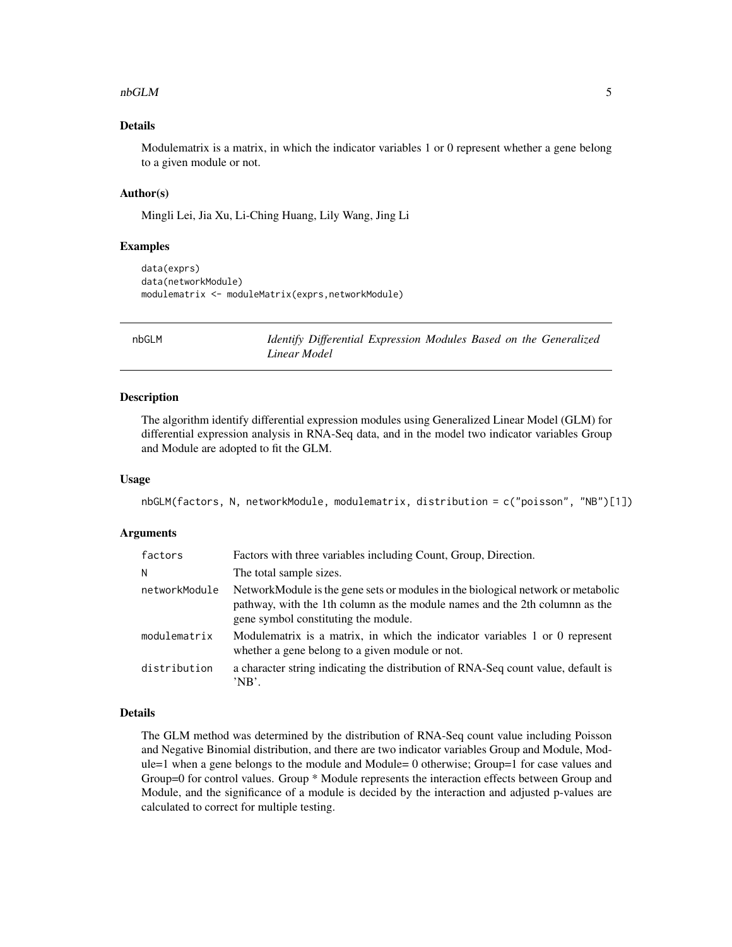#### <span id="page-4-0"></span> $n$ bGLM  $\sim$  5

## Details

Modulematrix is a matrix, in which the indicator variables 1 or 0 represent whether a gene belong to a given module or not.

#### Author(s)

Mingli Lei, Jia Xu, Li-Ching Huang, Lily Wang, Jing Li

#### Examples

```
data(exprs)
data(networkModule)
modulematrix <- moduleMatrix(exprs,networkModule)
```
<span id="page-4-1"></span>nbGLM *Identify Differential Expression Modules Based on the Generalized Linear Model*

#### Description

The algorithm identify differential expression modules using Generalized Linear Model (GLM) for differential expression analysis in RNA-Seq data, and in the model two indicator variables Group and Module are adopted to fit the GLM.

#### Usage

```
nbGLM(factors, N, networkModule, modulematrix, distribution = c("poisson", "NB")[1])
```
## Arguments

| factors       | Factors with three variables including Count, Group, Direction.                                                                                                                                         |
|---------------|---------------------------------------------------------------------------------------------------------------------------------------------------------------------------------------------------------|
| Ν             | The total sample sizes.                                                                                                                                                                                 |
| networkModule | NetworkModule is the gene sets or modules in the biological network or metabolic<br>pathway, with the 1th column as the module names and the 2th columnn as the<br>gene symbol constituting the module. |
| modulematrix  | Modulematrix is a matrix, in which the indicator variables 1 or 0 represent<br>whether a gene belong to a given module or not.                                                                          |
| distribution  | a character string indicating the distribution of RNA-Seq count value, default is<br>'NB'.                                                                                                              |

#### Details

The GLM method was determined by the distribution of RNA-Seq count value including Poisson and Negative Binomial distribution, and there are two indicator variables Group and Module, Module=1 when a gene belongs to the module and Module= 0 otherwise; Group=1 for case values and Group=0 for control values. Group \* Module represents the interaction effects between Group and Module, and the significance of a module is decided by the interaction and adjusted p-values are calculated to correct for multiple testing.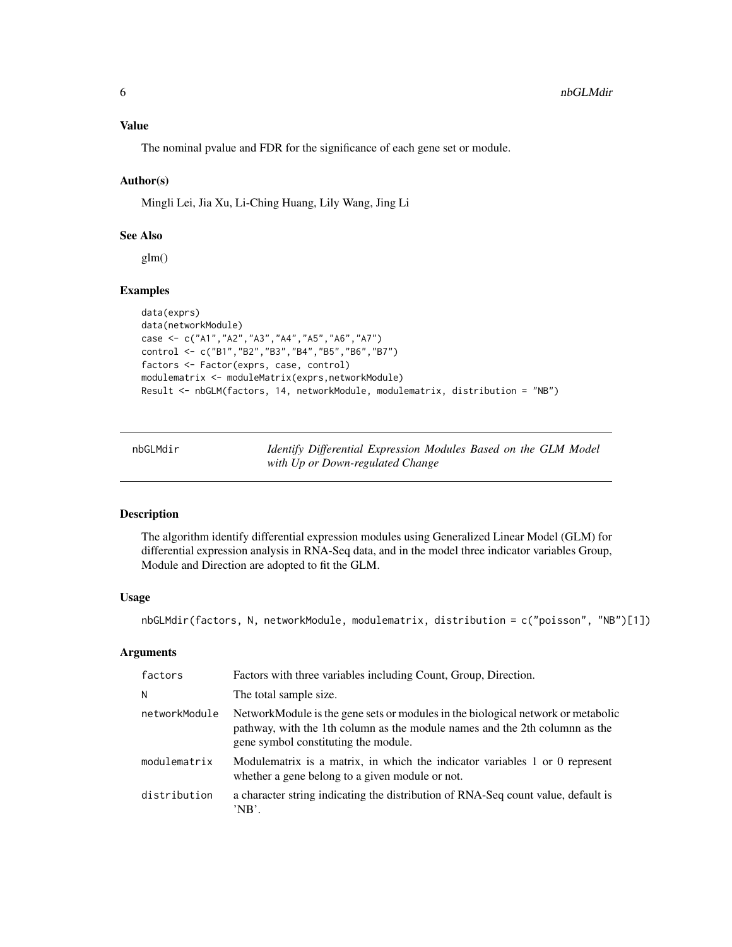## <span id="page-5-0"></span>Value

The nominal pvalue and FDR for the significance of each gene set or module.

## Author(s)

Mingli Lei, Jia Xu, Li-Ching Huang, Lily Wang, Jing Li

## See Also

glm()

## Examples

```
data(exprs)
data(networkModule)
case <- c("A1","A2","A3","A4","A5","A6","A7")
control <- c("B1","B2","B3","B4","B5","B6","B7")
factors <- Factor(exprs, case, control)
modulematrix <- moduleMatrix(exprs,networkModule)
Result <- nbGLM(factors, 14, networkModule, modulematrix, distribution = "NB")
```
<span id="page-5-1"></span>nbGLMdir *Identify Differential Expression Modules Based on the GLM Model with Up or Down-regulated Change*

## Description

The algorithm identify differential expression modules using Generalized Linear Model (GLM) for differential expression analysis in RNA-Seq data, and in the model three indicator variables Group, Module and Direction are adopted to fit the GLM.

## Usage

nbGLMdir(factors, N, networkModule, modulematrix, distribution = c("poisson", "NB")[1])

#### Arguments

| factors       | Factors with three variables including Count, Group, Direction.                                                                                                                                         |
|---------------|---------------------------------------------------------------------------------------------------------------------------------------------------------------------------------------------------------|
| N             | The total sample size.                                                                                                                                                                                  |
| networkModule | NetworkModule is the gene sets or modules in the biological network or metabolic<br>pathway, with the 1th column as the module names and the 2th columnn as the<br>gene symbol constituting the module. |
| modulematrix  | Modulematrix is a matrix, in which the indicator variables 1 or 0 represent<br>whether a gene belong to a given module or not.                                                                          |
| distribution  | a character string indicating the distribution of RNA-Seq count value, default is<br>'NB'.                                                                                                              |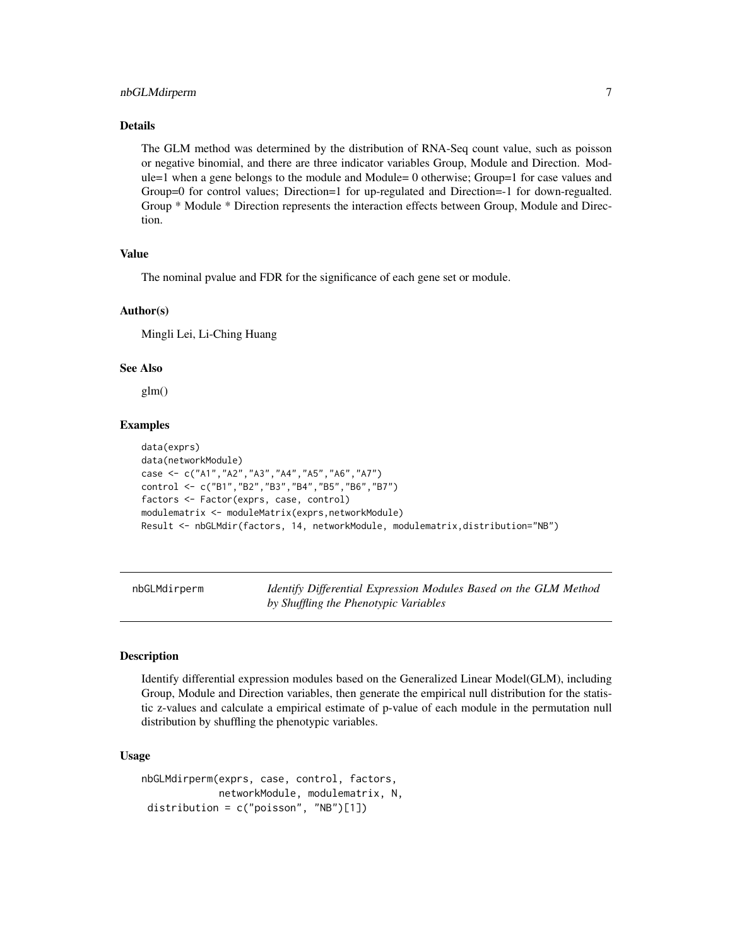#### <span id="page-6-0"></span>Details

The GLM method was determined by the distribution of RNA-Seq count value, such as poisson or negative binomial, and there are three indicator variables Group, Module and Direction. Module=1 when a gene belongs to the module and Module= 0 otherwise; Group=1 for case values and Group=0 for control values; Direction=1 for up-regulated and Direction=-1 for down-regualted. Group \* Module \* Direction represents the interaction effects between Group, Module and Direction.

#### Value

The nominal pvalue and FDR for the significance of each gene set or module.

#### Author(s)

Mingli Lei, Li-Ching Huang

#### See Also

glm()

## Examples

```
data(exprs)
data(networkModule)
case <- c("A1","A2","A3","A4","A5","A6","A7")
control <- c("B1","B2","B3","B4","B5","B6","B7")
factors <- Factor(exprs, case, control)
modulematrix <- moduleMatrix(exprs,networkModule)
Result <- nbGLMdir(factors, 14, networkModule, modulematrix,distribution="NB")
```
<span id="page-6-1"></span>nbGLMdirperm *Identify Differential Expression Modules Based on the GLM Method by Shuffling the Phenotypic Variables*

#### Description

Identify differential expression modules based on the Generalized Linear Model(GLM), including Group, Module and Direction variables, then generate the empirical null distribution for the statistic z-values and calculate a empirical estimate of p-value of each module in the permutation null distribution by shuffling the phenotypic variables.

#### Usage

```
nbGLMdirperm(exprs, case, control, factors,
            networkModule, modulematrix, N,
distribution = c("poisson", "NB")[1])
```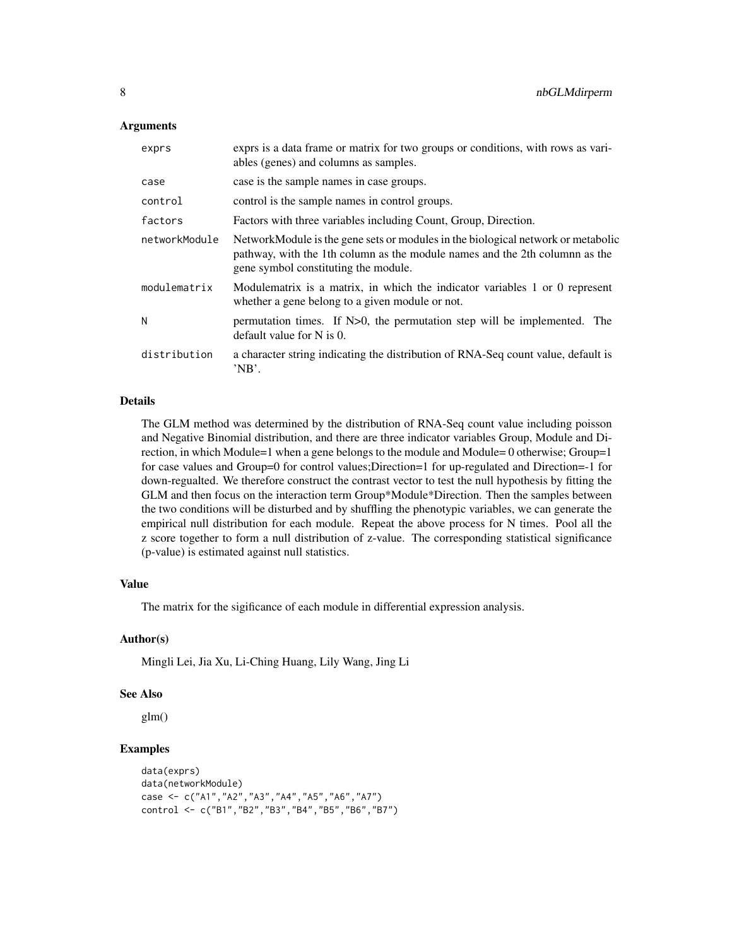## Arguments

| exprs         | exprs is a data frame or matrix for two groups or conditions, with rows as vari-<br>ables (genes) and columns as samples.                                                                               |
|---------------|---------------------------------------------------------------------------------------------------------------------------------------------------------------------------------------------------------|
| case          | case is the sample names in case groups.                                                                                                                                                                |
| control       | control is the sample names in control groups.                                                                                                                                                          |
| factors       | Factors with three variables including Count, Group, Direction.                                                                                                                                         |
| networkModule | NetworkModule is the gene sets or modules in the biological network or metabolic<br>pathway, with the 1th column as the module names and the 2th columnn as the<br>gene symbol constituting the module. |
| modulematrix  | Modulematrix is a matrix, in which the indicator variables 1 or 0 represent<br>whether a gene belong to a given module or not.                                                                          |
| N             | permutation times. If N>0, the permutation step will be implemented. The<br>default value for $N$ is 0.                                                                                                 |
| distribution  | a character string indicating the distribution of RNA-Seq count value, default is<br>'NB'.                                                                                                              |

## Details

The GLM method was determined by the distribution of RNA-Seq count value including poisson and Negative Binomial distribution, and there are three indicator variables Group, Module and Direction, in which Module=1 when a gene belongs to the module and Module= 0 otherwise; Group=1 for case values and Group=0 for control values;Direction=1 for up-regulated and Direction=-1 for down-regualted. We therefore construct the contrast vector to test the null hypothesis by fitting the GLM and then focus on the interaction term Group\*Module\*Direction. Then the samples between the two conditions will be disturbed and by shuffling the phenotypic variables, we can generate the empirical null distribution for each module. Repeat the above process for N times. Pool all the z score together to form a null distribution of z-value. The corresponding statistical significance (p-value) is estimated against null statistics.

## Value

The matrix for the sigificance of each module in differential expression analysis.

## Author(s)

Mingli Lei, Jia Xu, Li-Ching Huang, Lily Wang, Jing Li

#### See Also

glm()

## Examples

```
data(exprs)
data(networkModule)
case <- c("A1","A2","A3","A4","A5","A6","A7")
control <- c("B1","B2","B3","B4","B5","B6","B7")
```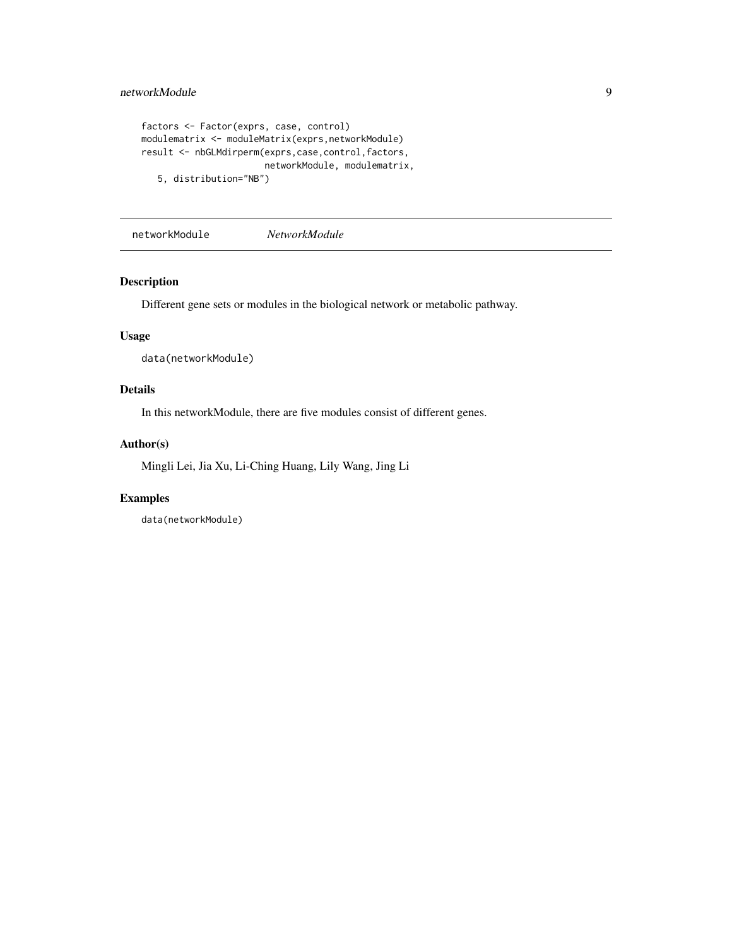```
factors <- Factor(exprs, case, control)
modulematrix <- moduleMatrix(exprs,networkModule)
result <- nbGLMdirperm(exprs,case,control,factors,
                      networkModule, modulematrix,
   5, distribution="NB")
```
networkModule *NetworkModule*

## Description

Different gene sets or modules in the biological network or metabolic pathway.

## Usage

data(networkModule)

## Details

In this networkModule, there are five modules consist of different genes.

#### Author(s)

Mingli Lei, Jia Xu, Li-Ching Huang, Lily Wang, Jing Li

## Examples

data(networkModule)